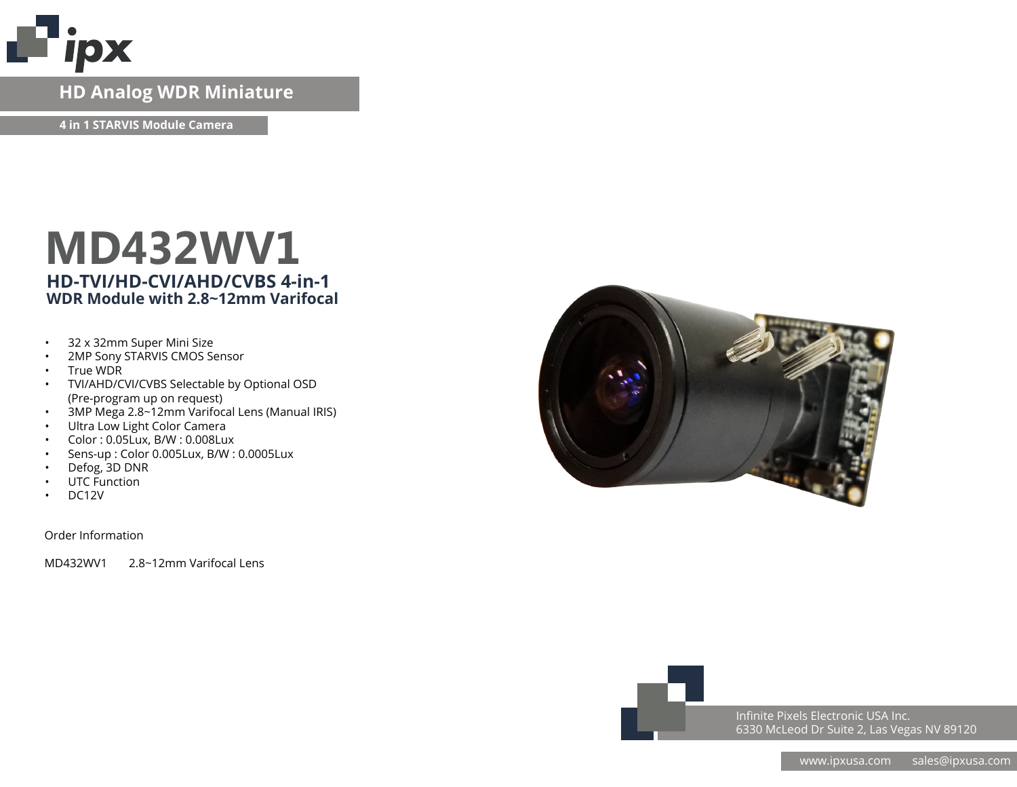

### **HD Analog WDR Miniature**

**4 in 1 STARVIS Module Camera**

## **MD432WV1 HD-TVI/HD-CVI/AHD/CVBS 4-in-1 WDR Module with 2.8~12mm Varifocal**

- 32 x 32mm Super Mini Size
- 2MP Sony STARVIS CMOS Sensor
- True WDR
- TVI/AHD/CVI/CVBS Selectable by Optional OSD (Pre-program up on request)
- 3MP Mega 2.8~12mm Varifocal Lens (Manual IRIS)
- Ultra Low Light Color Camera
- Color : 0.05Lux, B/W : 0.008Lux
- Sens-up : Color 0.005Lux, B/W : 0.0005Lux
- Defog, 3D DNR
- UTC Function
- DC12V

Order Information

MD432WV1 2.8~12mm Varifocal Lens